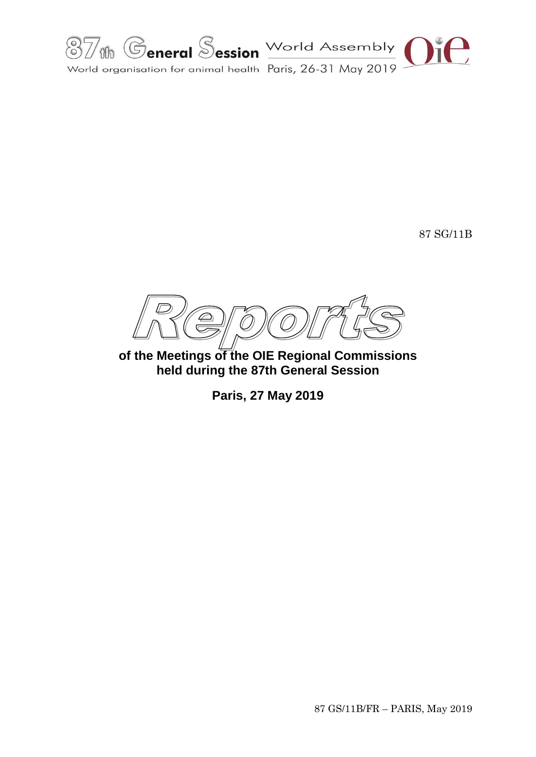

87 SG/11B

 $\bigcirc$  $\overline{C}$ 

**of the Meetings of the OIE Regional Commissions held during the 87th General Session**

**Paris, 27 May 2019**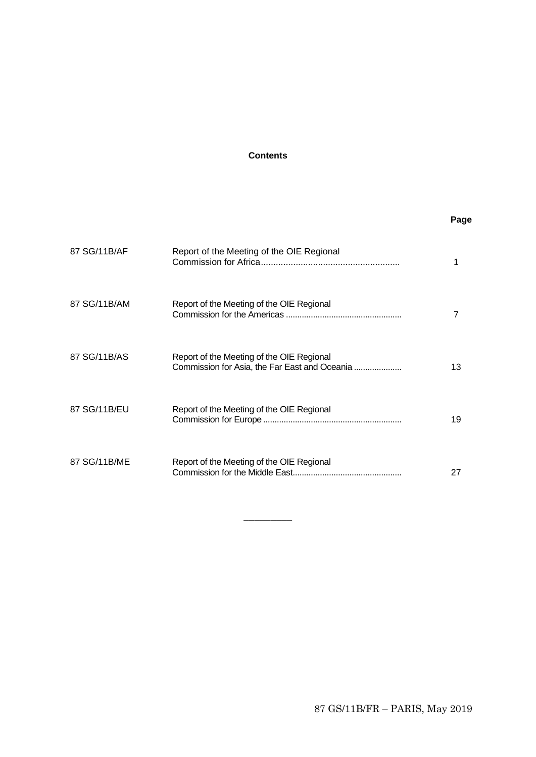# **Contents**

# **Page**

| 87 SG/11B/AF | Report of the Meeting of the OIE Regional                                                  |    |
|--------------|--------------------------------------------------------------------------------------------|----|
| 87 SG/11B/AM | Report of the Meeting of the OIE Regional                                                  |    |
| 87 SG/11B/AS | Report of the Meeting of the OIE Regional<br>Commission for Asia, the Far East and Oceania | 13 |
| 87 SG/11B/EU | Report of the Meeting of the OIE Regional                                                  | 19 |
| 87 SG/11B/ME | Report of the Meeting of the OIE Regional                                                  | 27 |

 $\overline{\phantom{a}}$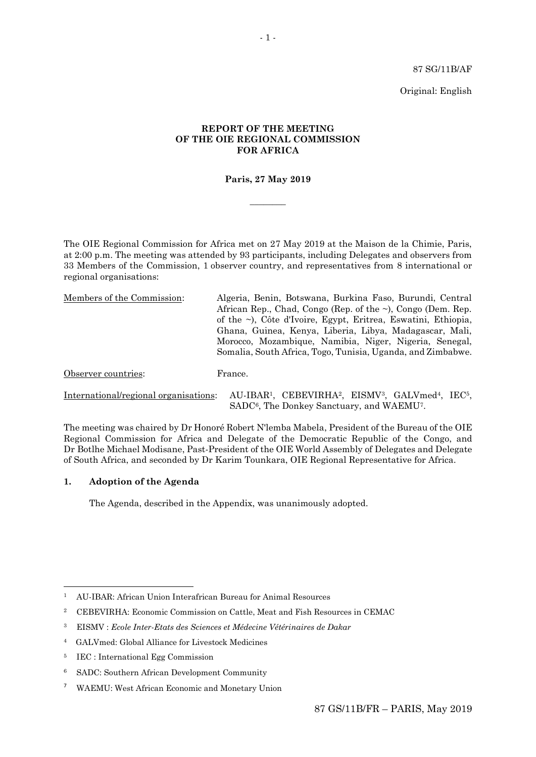87 SG/11B/AF

Original: English

## **REPORT OF THE MEETING OF THE OIE REGIONAL COMMISSION FOR AFRICA**

## **Paris, 27 May 2019**

 $\overline{\phantom{a}}$ 

The OIE Regional Commission for Africa met on 27 May 2019 at the Maison de la Chimie, Paris, at 2:00 p.m. The meeting was attended by 93 participants, including Delegates and observers from 33 Members of the Commission, 1 observer country, and representatives from 8 international or regional organisations:

| Members of the Commission:            | Algeria, Benin, Botswana, Burkina Faso, Burundi, Central                                                                                                                             |
|---------------------------------------|--------------------------------------------------------------------------------------------------------------------------------------------------------------------------------------|
|                                       | African Rep., Chad, Congo (Rep. of the $\sim$ ), Congo (Dem. Rep.                                                                                                                    |
|                                       | of the ~), Côte d'Ivoire, Egypt, Eritrea, Eswatini, Ethiopia,                                                                                                                        |
|                                       | Ghana, Guinea, Kenya, Liberia, Libya, Madagascar, Mali,                                                                                                                              |
|                                       | Morocco, Mozambique, Namibia, Niger, Nigeria, Senegal,                                                                                                                               |
|                                       | Somalia, South Africa, Togo, Tunisia, Uganda, and Zimbabwe.                                                                                                                          |
| Observer countries:                   | France.                                                                                                                                                                              |
| International/regional organisations: | AU-IBAR <sup>1</sup> , CEBEVIRHA <sup>2</sup> , EISMV <sup>3</sup> , GALVmed <sup>4</sup> , IEC <sup>5</sup> ,<br>SADC <sup>6</sup> , The Donkey Sanctuary, and WAEMU <sup>7</sup> . |

The meeting was chaired by Dr Honoré Robert N'lemba Mabela, President of the Bureau of the OIE Regional Commission for Africa and Delegate of the Democratic Republic of the Congo, and Dr Botlhe Michael Modisane, Past-President of the OIE World Assembly of Delegates and Delegate of South Africa, and seconded by Dr Karim Tounkara, OIE Regional Representative for Africa.

## **1. Adoption of the Agenda**

**.** 

The Agenda, described in the Appendix, was unanimously adopted.

<sup>1</sup> AU-IBAR: African Union Interafrican Bureau for Animal Resources

<sup>2</sup> CEBEVIRHA: Economic Commission on Cattle, Meat and Fish Resources in CEMAC

<sup>3</sup> EISMV : *Ecole Inter-Etats des Sciences et Médecine Vétérinaires de Dakar*

<sup>4</sup> GALVmed: Global Alliance for Livestock Medicines

<sup>5</sup> IEC : International Egg Commission

<sup>6</sup> SADC: Southern African Development Community

<sup>7</sup> WAEMU: West African Economic and Monetary Union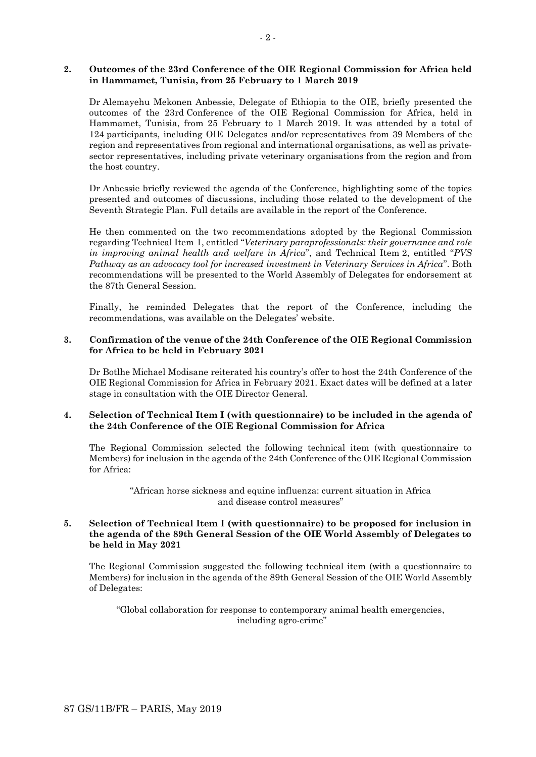#### **2. Outcomes of the 23rd Conference of the OIE Regional Commission for Africa held in Hammamet, Tunisia, from 25 February to 1 March 2019**

Dr Alemayehu Mekonen Anbessie, Delegate of Ethiopia to the OIE, briefly presented the outcomes of the 23rd Conference of the OIE Regional Commission for Africa, held in Hammamet, Tunisia, from 25 February to 1 March 2019. It was attended by a total of 124 participants, including OIE Delegates and/or representatives from 39 Members of the region and representatives from regional and international organisations, as well as privatesector representatives, including private veterinary organisations from the region and from the host country.

Dr Anbessie briefly reviewed the agenda of the Conference, highlighting some of the topics presented and outcomes of discussions, including those related to the development of the Seventh Strategic Plan. Full details are available in the report of the Conference.

He then commented on the two recommendations adopted by the Regional Commission regarding Technical Item 1, entitled "*Veterinary paraprofessionals: their governance and role in improving animal health and welfare in Africa*", and Technical Item 2, entitled "*PVS Pathway as an advocacy tool for increased investment in Veterinary Services in Africa*". Both recommendations will be presented to the World Assembly of Delegates for endorsement at the 87th General Session.

Finally, he reminded Delegates that the report of the Conference, including the recommendations, was available on the Delegates' website.

## **3. Confirmation of the venue of the 24th Conference of the OIE Regional Commission for Africa to be held in February 2021**

Dr Botlhe Michael Modisane reiterated his country's offer to host the 24th Conference of the OIE Regional Commission for Africa in February 2021. Exact dates will be defined at a later stage in consultation with the OIE Director General.

## **4. Selection of Technical Item I (with questionnaire) to be included in the agenda of the 24th Conference of the OIE Regional Commission for Africa**

The Regional Commission selected the following technical item (with questionnaire to Members) for inclusion in the agenda of the 24th Conference of the OIE Regional Commission for Africa:

> "African horse sickness and equine influenza: current situation in Africa and disease control measures"

## **5. Selection of Technical Item I (with questionnaire) to be proposed for inclusion in the agenda of the 89th General Session of the OIE World Assembly of Delegates to be held in May 2021**

The Regional Commission suggested the following technical item (with a questionnaire to Members) for inclusion in the agenda of the 89th General Session of the OIE World Assembly of Delegates:

"Global collaboration for response to contemporary animal health emergencies, including agro-crime"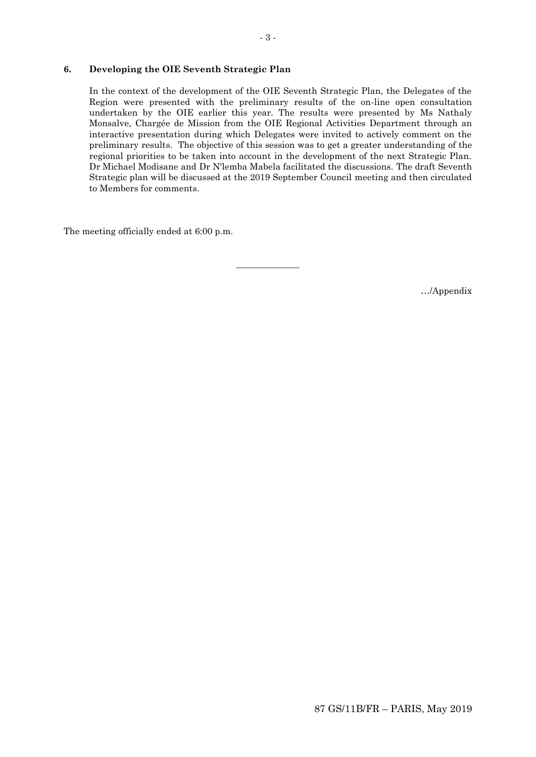### **6. Developing the OIE Seventh Strategic Plan**

In the context of the development of the OIE Seventh Strategic Plan, the Delegates of the Region were presented with the preliminary results of the on-line open consultation undertaken by the OIE earlier this year. The results were presented by Ms Nathaly Monsalve, Chargée de Mission from the OIE Regional Activities Department through an interactive presentation during which Delegates were invited to actively comment on the preliminary results. The objective of this session was to get a greater understanding of the regional priorities to be taken into account in the development of the next Strategic Plan. Dr Michael Modisane and Dr N'lemba Mabela facilitated the discussions. The draft Seventh Strategic plan will be discussed at the 2019 September Council meeting and then circulated to Members for comments.

 $\overline{\phantom{a}}$  , where  $\overline{\phantom{a}}$ 

The meeting officially ended at 6:00 p.m.

…/Appendix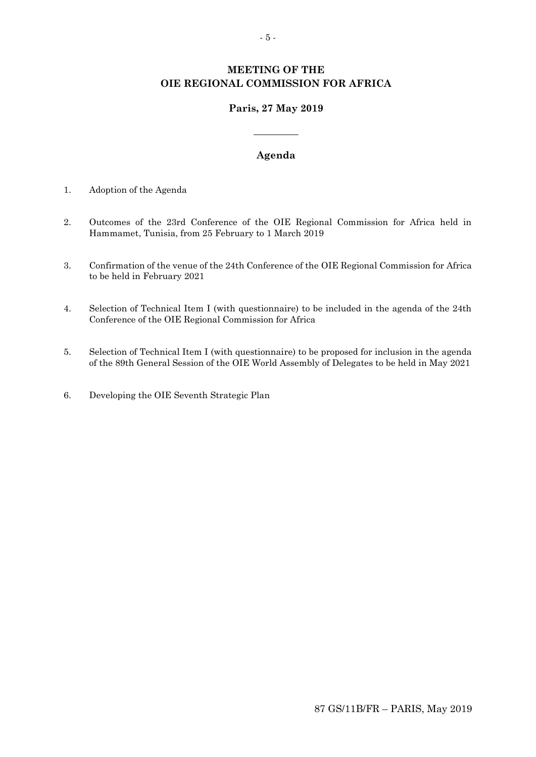# **MEETING OF THE OIE REGIONAL COMMISSION FOR AFRICA**

# **Paris, 27 May 2019**

# **Agenda**

**\_\_\_\_\_\_\_\_\_**

- 1. Adoption of the Agenda
- 2. Outcomes of the 23rd Conference of the OIE Regional Commission for Africa held in Hammamet, Tunisia, from 25 February to 1 March 2019
- 3. Confirmation of the venue of the 24th Conference of the OIE Regional Commission for Africa to be held in February 2021
- 4. Selection of Technical Item I (with questionnaire) to be included in the agenda of the 24th Conference of the OIE Regional Commission for Africa
- 5. Selection of Technical Item I (with questionnaire) to be proposed for inclusion in the agenda of the 89th General Session of the OIE World Assembly of Delegates to be held in May 2021
- 6. Developing the OIE Seventh Strategic Plan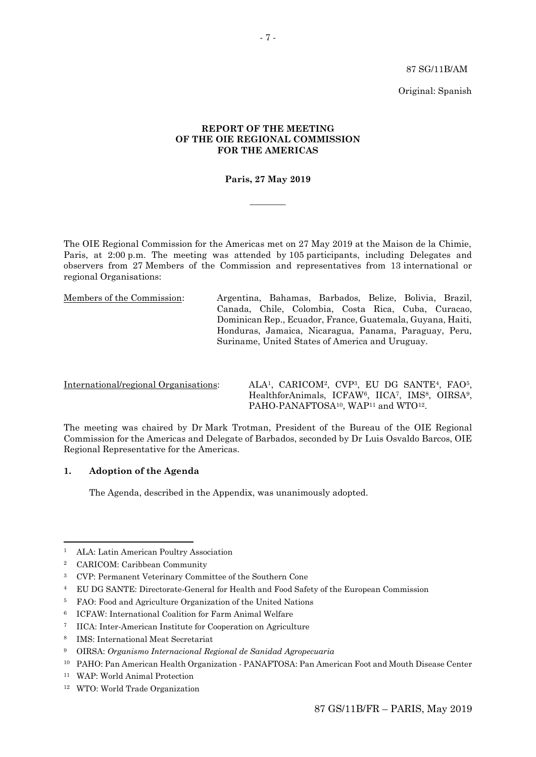87 SG/11B/AM

Original: Spanish

## **REPORT OF THE MEETING OF THE OIE REGIONAL COMMISSION FOR THE AMERICAS**

## **Paris, 27 May 2019**

 $\overline{\phantom{a}}$ 

The OIE Regional Commission for the Americas met on 27 May 2019 at the Maison de la Chimie, Paris, at 2:00 p.m. The meeting was attended by 105 participants, including Delegates and observers from 27 Members of the Commission and representatives from 13 international or regional Organisations:

Members of the Commission: Argentina, Bahamas, Barbados, Belize, Bolivia, Brazil, Canada, Chile, Colombia, Costa Rica, Cuba, Curacao, Dominican Rep., Ecuador, France, Guatemala, Guyana, Haiti, Honduras, Jamaica, Nicaragua, Panama, Paraguay, Peru, Suriname, United States of America and Uruguay.

International/regional Organisations: ALA1, CARICOM2, CVP3, EU DG SANTE4, FAO5, HealthforAnimals, ICFAW<sup>6</sup>, IICA<sup>7</sup>, IMS<sup>8</sup>, OIRSA<sup>9</sup>, PAHO-PANAFTOSA<sup>10</sup>, WAP<sup>11</sup> and WTO<sup>12</sup>.

The meeting was chaired by Dr Mark Trotman, President of the Bureau of the OIE Regional Commission for the Americas and Delegate of Barbados, seconded by Dr Luis Osvaldo Barcos, OIE Regional Representative for the Americas.

#### **1. Adoption of the Agenda**

The Agenda, described in the Appendix, was unanimously adopted.

1

<sup>4</sup> EU DG SANTE: Directorate-General for Health and Food Safety of the European Commission

- <sup>6</sup> ICFAW: International Coalition for Farm Animal Welfare
- <sup>7</sup> IICA: Inter-American Institute for Cooperation on Agriculture
- <sup>8</sup> IMS: International Meat Secretariat

<sup>1</sup> ALA: Latin American Poultry Association

<sup>2</sup> CARICOM: Caribbean Community

<sup>3</sup> CVP: Permanent Veterinary Committee of the Southern Cone

<sup>5</sup> FAO: Food and Agriculture Organization of the United Nations

<sup>9</sup> OIRSA: *Organismo Internacional Regional de Sanidad Agropecuaria*

<sup>10</sup> PAHO: Pan American Health Organization - PANAFTOSA: Pan American Foot and Mouth Disease Center

<sup>11</sup> WAP: World Animal Protection

<sup>12</sup> WTO: World Trade Organization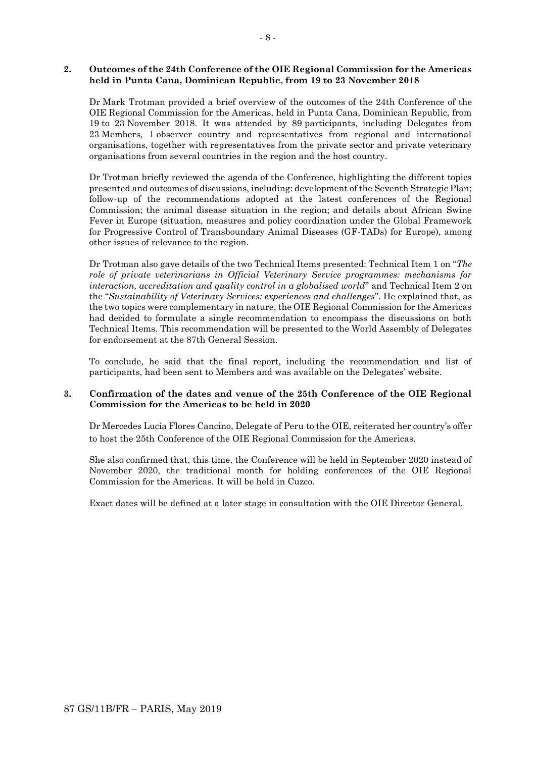#### **2. Outcomes of the 24th Conference of the OIE Regional Commission for the Americas held in Punta Cana, Dominican Republic, from 19 to 23 November 2018**

Dr Mark Trotman provided a brief overview of the outcomes of the 24th Conference of the OIE Regional Commission for the Americas, held in Punta Cana, Dominican Republic, from 19 to 23 November 2018. It was attended by 89 participants, including Delegates from 23 Members, 1 observer country and representatives from regional and international organisations, together with representatives from the private sector and private veterinary organisations from several countries in the region and the host country.

Dr Trotman briefly reviewed the agenda of the Conference, highlighting the different topics presented and outcomes of discussions, including: development of the Seventh Strategic Plan; follow-up of the recommendations adopted at the latest conferences of the Regional Commission; the animal disease situation in the region; and details about African Swine Fever in Europe (situation, measures and policy coordination under the Global Framework for Progressive Control of Transboundary Animal Diseases (GF-TADs) for Europe), among other issues of relevance to the region.

Dr Trotman also gave details of the two Technical Items presented: Technical Item 1 on "*The role of private veterinarians in Official Veterinary Service programmes: mechanisms for interaction, accreditation and quality control in a globalised world*" and Technical Item 2 on the "*Sustainability of Veterinary Services: experiences and challenges*". He explained that, as the two topics were complementary in nature, the OIE Regional Commission for the Americas had decided to formulate a single recommendation to encompass the discussions on both Technical Items. This recommendation will be presented to the World Assembly of Delegates for endorsement at the 87th General Session.

To conclude, he said that the final report, including the recommendation and list of participants, had been sent to Members and was available on the Delegates' website.

#### **3. Confirmation of the dates and venue of the 25th Conference of the OIE Regional Commission for the Americas to be held in 2020**

Dr Mercedes Lucía Flores Cancino, Delegate of Peru to the OIE, reiterated her country's offer to host the 25th Conference of the OIE Regional Commission for the Americas.

She also confirmed that, this time, the Conference will be held in September 2020 instead of November 2020, the traditional month for holding conferences of the OIE Regional Commission for the Americas. It will be held in Cuzco.

Exact dates will be defined at a later stage in consultation with the OIE Director General.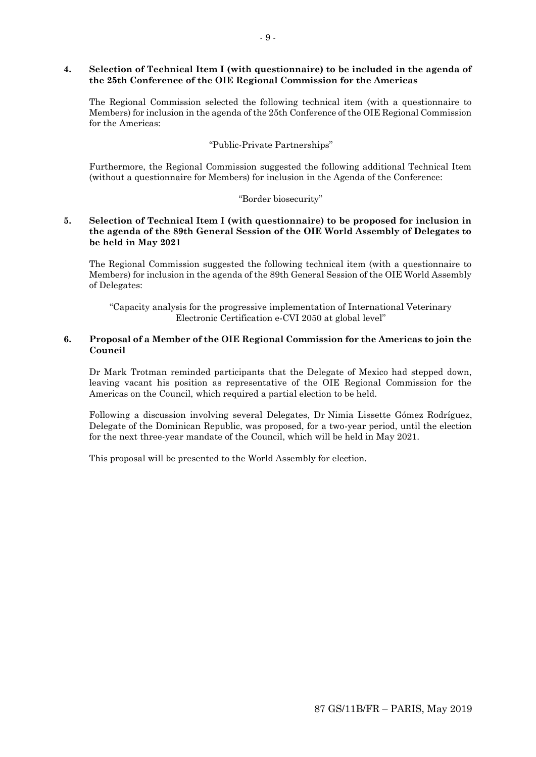## **4. Selection of Technical Item I (with questionnaire) to be included in the agenda of the 25th Conference of the OIE Regional Commission for the Americas**

The Regional Commission selected the following technical item (with a questionnaire to Members) for inclusion in the agenda of the 25th Conference of the OIE Regional Commission for the Americas:

# "Public-Private Partnerships"

Furthermore, the Regional Commission suggested the following additional Technical Item (without a questionnaire for Members) for inclusion in the Agenda of the Conference:

# "Border biosecurity"

## **5. Selection of Technical Item I (with questionnaire) to be proposed for inclusion in the agenda of the 89th General Session of the OIE World Assembly of Delegates to be held in May 2021**

The Regional Commission suggested the following technical item (with a questionnaire to Members) for inclusion in the agenda of the 89th General Session of the OIE World Assembly of Delegates:

"Capacity analysis for the progressive implementation of International Veterinary Electronic Certification e-CVI 2050 at global level"

# **6. Proposal of a Member of the OIE Regional Commission for the Americas to join the Council**

Dr Mark Trotman reminded participants that the Delegate of Mexico had stepped down, leaving vacant his position as representative of the OIE Regional Commission for the Americas on the Council, which required a partial election to be held.

Following a discussion involving several Delegates, Dr Nimia Lissette Gómez Rodríguez, Delegate of the Dominican Republic, was proposed, for a two-year period, until the election for the next three-year mandate of the Council, which will be held in May 2021.

This proposal will be presented to the World Assembly for election.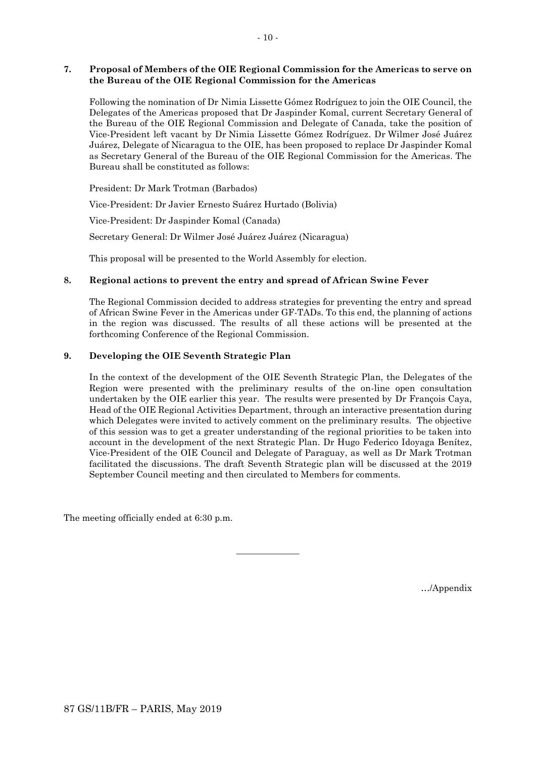## **7. Proposal of Members of the OIE Regional Commission for the Americas to serve on the Bureau of the OIE Regional Commission for the Americas**

Following the nomination of Dr Nimia Lissette Gómez Rodríguez to join the OIE Council, the Delegates of the Americas proposed that Dr Jaspinder Komal, current Secretary General of the Bureau of the OIE Regional Commission and Delegate of Canada, take the position of Vice-President left vacant by Dr Nimia Lissette Gómez Rodríguez. Dr Wilmer José Juárez Juárez, Delegate of Nicaragua to the OIE, has been proposed to replace Dr Jaspinder Komal as Secretary General of the Bureau of the OIE Regional Commission for the Americas. The Bureau shall be constituted as follows:

President: Dr Mark Trotman (Barbados)

Vice-President: Dr Javier Ernesto Suárez Hurtado (Bolivia)

Vice-President: Dr Jaspinder Komal (Canada)

Secretary General: Dr Wilmer José Juárez Juárez (Nicaragua)

This proposal will be presented to the World Assembly for election.

## **8. Regional actions to prevent the entry and spread of African Swine Fever**

The Regional Commission decided to address strategies for preventing the entry and spread of African Swine Fever in the Americas under GF-TADs. To this end, the planning of actions in the region was discussed. The results of all these actions will be presented at the forthcoming Conference of the Regional Commission.

## **9. Developing the OIE Seventh Strategic Plan**

In the context of the development of the OIE Seventh Strategic Plan, the Delegates of the Region were presented with the preliminary results of the on-line open consultation undertaken by the OIE earlier this year. The results were presented by Dr François Caya, Head of the OIE Regional Activities Department, through an interactive presentation during which Delegates were invited to actively comment on the preliminary results. The objective of this session was to get a greater understanding of the regional priorities to be taken into account in the development of the next Strategic Plan. Dr Hugo Federico Idoyaga Benítez, Vice-President of the OIE Council and Delegate of Paraguay, as well as Dr Mark Trotman facilitated the discussions. The draft Seventh Strategic plan will be discussed at the 2019 September Council meeting and then circulated to Members for comments.

 $\overline{\phantom{a}}$  , where  $\overline{\phantom{a}}$ 

The meeting officially ended at 6:30 p.m.

…/Appendix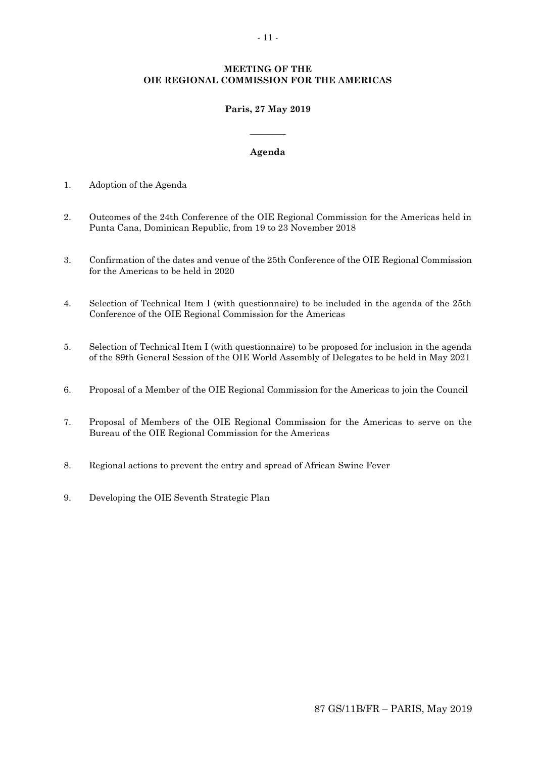## **MEETING OF THE OIE REGIONAL COMMISSION FOR THE AMERICAS**

## **Paris, 27 May 2019**

 $\overline{\phantom{a}}$ 

## **Agenda**

- 1. Adoption of the Agenda
- 2. Outcomes of the 24th Conference of the OIE Regional Commission for the Americas held in Punta Cana, Dominican Republic, from 19 to 23 November 2018
- 3. Confirmation of the dates and venue of the 25th Conference of the OIE Regional Commission for the Americas to be held in 2020
- 4. Selection of Technical Item I (with questionnaire) to be included in the agenda of the 25th Conference of the OIE Regional Commission for the Americas
- 5. Selection of Technical Item I (with questionnaire) to be proposed for inclusion in the agenda of the 89th General Session of the OIE World Assembly of Delegates to be held in May 2021
- 6. Proposal of a Member of the OIE Regional Commission for the Americas to join the Council
- 7. Proposal of Members of the OIE Regional Commission for the Americas to serve on the Bureau of the OIE Regional Commission for the Americas
- 8. Regional actions to prevent the entry and spread of African Swine Fever
- 9. Developing the OIE Seventh Strategic Plan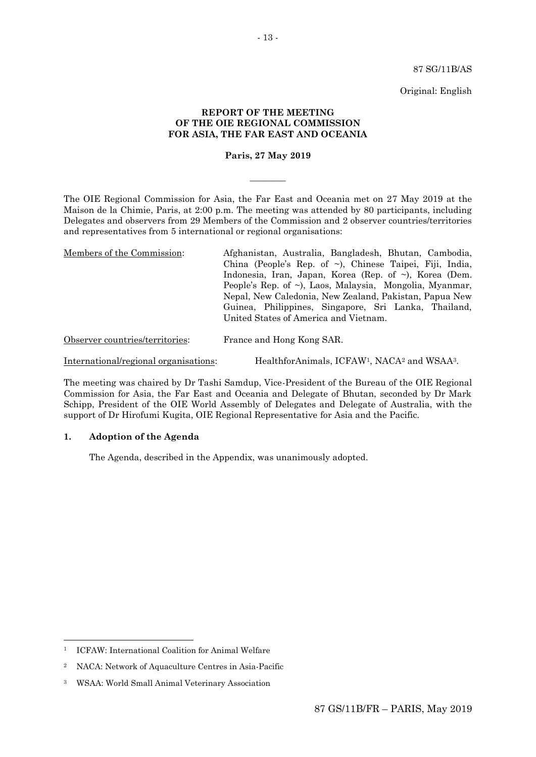87 SG/11B/AS

Original: English

#### **REPORT OF THE MEETING OF THE OIE REGIONAL COMMISSION FOR ASIA, THE FAR EAST AND OCEANIA**

#### **Paris, 27 May 2019**

 $\overline{\phantom{a}}$ 

The OIE Regional Commission for Asia, the Far East and Oceania met on 27 May 2019 at the Maison de la Chimie, Paris, at 2:00 p.m. The meeting was attended by 80 participants, including Delegates and observers from 29 Members of the Commission and 2 observer countries/territories and representatives from 5 international or regional organisations:

| Members of the Commission:      | Afghanistan, Australia, Bangladesh, Bhutan, Cambodia,          |
|---------------------------------|----------------------------------------------------------------|
|                                 | China (People's Rep. of $\sim$ ), Chinese Taipei, Fiji, India, |
|                                 | Indonesia, Iran, Japan, Korea (Rep. of $\sim$ ), Korea (Dem.   |
|                                 | People's Rep. of ~), Laos, Malaysia, Mongolia, Myanmar,        |
|                                 | Nepal, New Caledonia, New Zealand, Pakistan, Papua New         |
|                                 | Guinea, Philippines, Singapore, Sri Lanka, Thailand,           |
|                                 | United States of America and Vietnam.                          |
| Observer countries/territories: | France and Hong Kong SAR.                                      |

International/regional organisations: HealthforAnimals, ICFAW<sup>1</sup>, NACA<sup>2</sup> and WSAA<sup>3</sup>.

The meeting was chaired by Dr Tashi Samdup, Vice-President of the Bureau of the OIE Regional Commission for Asia, the Far East and Oceania and Delegate of Bhutan, seconded by Dr Mark Schipp, President of the OIE World Assembly of Delegates and Delegate of Australia, with the support of Dr Hirofumi Kugita, OIE Regional Representative for Asia and the Pacific.

## **1. Adoption of the Agenda**

The Agenda, described in the Appendix, was unanimously adopted.

 $\overline{a}$ 

<sup>&</sup>lt;sup>1</sup> ICFAW: International Coalition for Animal Welfare

<sup>2</sup> NACA: Network of Aquaculture Centres in Asia-Pacific

<sup>3</sup> WSAA: World Small Animal Veterinary Association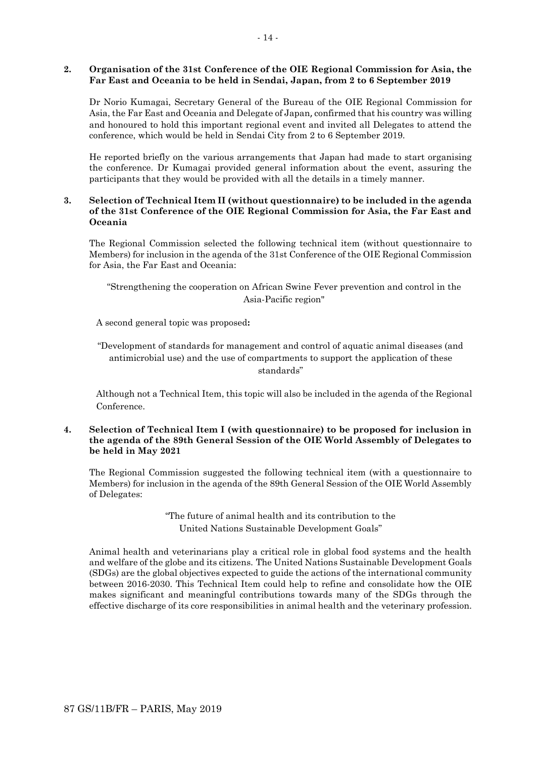### **2. Organisation of the 31st Conference of the OIE Regional Commission for Asia, the Far East and Oceania to be held in Sendai, Japan, from 2 to 6 September 2019**

Dr Norio Kumagai, Secretary General of the Bureau of the OIE Regional Commission for Asia, the Far East and Oceania and Delegate of Japan, confirmed that his country was willing and honoured to hold this important regional event and invited all Delegates to attend the conference, which would be held in Sendai City from 2 to 6 September 2019.

He reported briefly on the various arrangements that Japan had made to start organising the conference. Dr Kumagai provided general information about the event, assuring the participants that they would be provided with all the details in a timely manner.

## **3. Selection of Technical Item II (without questionnaire) to be included in the agenda of the 31st Conference of the OIE Regional Commission for Asia, the Far East and Oceania**

The Regional Commission selected the following technical item (without questionnaire to Members) for inclusion in the agenda of the 31st Conference of the OIE Regional Commission for Asia, the Far East and Oceania:

"Strengthening the cooperation on African Swine Fever prevention and control in the Asia-Pacific region"

A second general topic was proposed**:** 

"Development of standards for management and control of aquatic animal diseases (and antimicrobial use) and the use of compartments to support the application of these standards"

Although not a Technical Item, this topic will also be included in the agenda of the Regional Conference.

## **4. Selection of Technical Item I (with questionnaire) to be proposed for inclusion in the agenda of the 89th General Session of the OIE World Assembly of Delegates to be held in May 2021**

The Regional Commission suggested the following technical item (with a questionnaire to Members) for inclusion in the agenda of the 89th General Session of the OIE World Assembly of Delegates:

> "The future of animal health and its contribution to the United Nations Sustainable Development Goals"

Animal health and veterinarians play a critical role in global food systems and the health and welfare of the globe and its citizens. The United Nations Sustainable Development Goals (SDGs) are the global objectives expected to guide the actions of the international community between 2016-2030. This Technical Item could help to refine and consolidate how the OIE makes significant and meaningful contributions towards many of the SDGs through the effective discharge of its core responsibilities in animal health and the veterinary profession.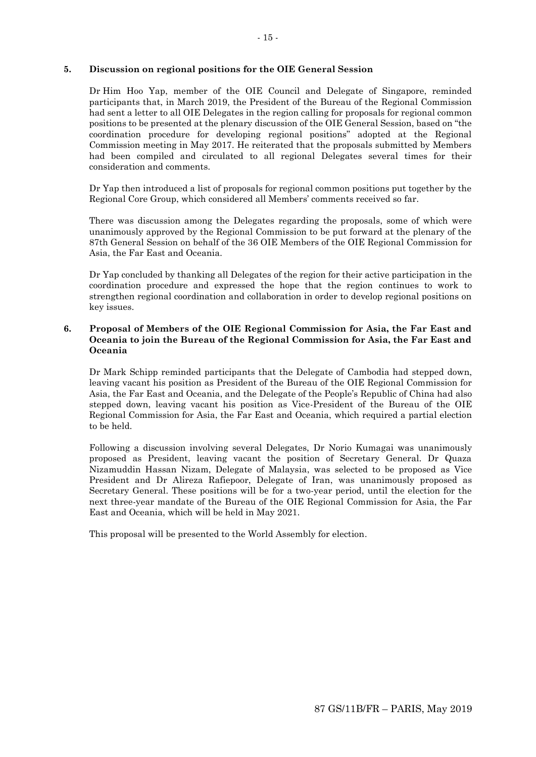## **5. Discussion on regional positions for the OIE General Session**

Dr Him Hoo Yap, member of the OIE Council and Delegate of Singapore, reminded participants that, in March 2019, the President of the Bureau of the Regional Commission had sent a letter to all OIE Delegates in the region calling for proposals for regional common positions to be presented at the plenary discussion of the OIE General Session, based on "the coordination procedure for developing regional positions" adopted at the Regional Commission meeting in May 2017. He reiterated that the proposals submitted by Members had been compiled and circulated to all regional Delegates several times for their consideration and comments.

Dr Yap then introduced a list of proposals for regional common positions put together by the Regional Core Group, which considered all Members' comments received so far.

There was discussion among the Delegates regarding the proposals, some of which were unanimously approved by the Regional Commission to be put forward at the plenary of the 87th General Session on behalf of the 36 OIE Members of the OIE Regional Commission for Asia, the Far East and Oceania.

Dr Yap concluded by thanking all Delegates of the region for their active participation in the coordination procedure and expressed the hope that the region continues to work to strengthen regional coordination and collaboration in order to develop regional positions on key issues.

## **6. Proposal of Members of the OIE Regional Commission for Asia, the Far East and Oceania to join the Bureau of the Regional Commission for Asia, the Far East and Oceania**

Dr Mark Schipp reminded participants that the Delegate of Cambodia had stepped down, leaving vacant his position as President of the Bureau of the OIE Regional Commission for Asia, the Far East and Oceania, and the Delegate of the People's Republic of China had also stepped down, leaving vacant his position as Vice-President of the Bureau of the OIE Regional Commission for Asia, the Far East and Oceania, which required a partial election to be held.

Following a discussion involving several Delegates, Dr Norio Kumagai was unanimously proposed as President, leaving vacant the position of Secretary General. Dr Quaza Nizamuddin Hassan Nizam, Delegate of Malaysia, was selected to be proposed as Vice President and Dr Alireza Rafiepoor, Delegate of Iran, was unanimously proposed as Secretary General. These positions will be for a two-year period, until the election for the next three-year mandate of the Bureau of the OIE Regional Commission for Asia, the Far East and Oceania, which will be held in May 2021.

This proposal will be presented to the World Assembly for election.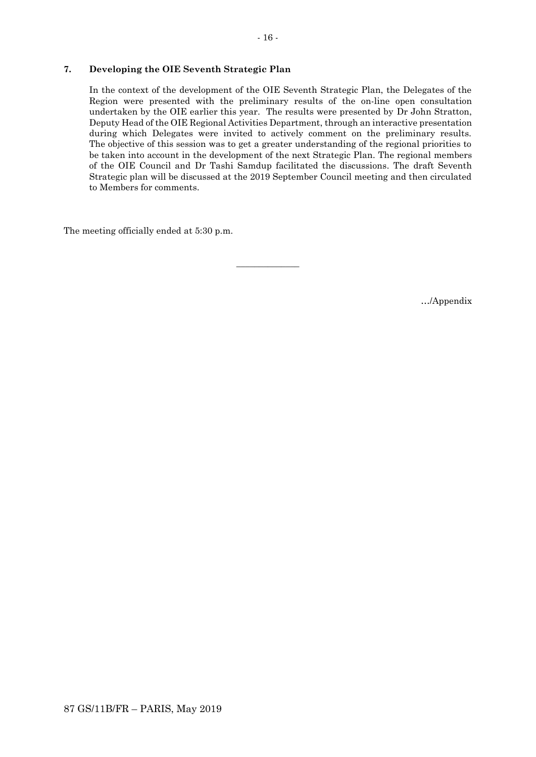## **7. Developing the OIE Seventh Strategic Plan**

In the context of the development of the OIE Seventh Strategic Plan, the Delegates of the Region were presented with the preliminary results of the on-line open consultation undertaken by the OIE earlier this year. The results were presented by Dr John Stratton, Deputy Head of the OIE Regional Activities Department, through an interactive presentation during which Delegates were invited to actively comment on the preliminary results. The objective of this session was to get a greater understanding of the regional priorities to be taken into account in the development of the next Strategic Plan. The regional members of the OIE Council and Dr Tashi Samdup facilitated the discussions. The draft Seventh Strategic plan will be discussed at the 2019 September Council meeting and then circulated to Members for comments.

 $\overline{\phantom{a}}$  , where  $\overline{\phantom{a}}$ 

The meeting officially ended at 5:30 p.m.

…/Appendix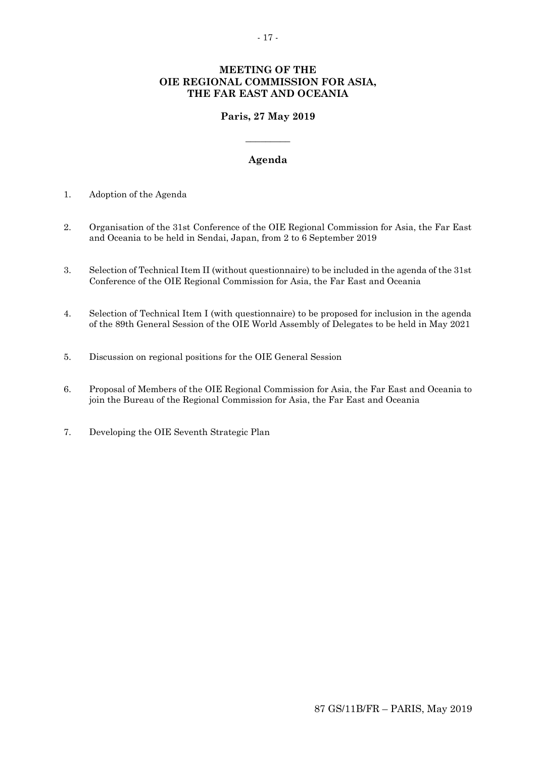# **MEETING OF THE OIE REGIONAL COMMISSION FOR ASIA, THE FAR EAST AND OCEANIA**

# **Paris, 27 May 2019**

**\_\_\_\_\_\_\_\_\_**

## **Agenda**

- 1. Adoption of the Agenda
- 2. Organisation of the 31st Conference of the OIE Regional Commission for Asia, the Far East and Oceania to be held in Sendai, Japan, from 2 to 6 September 2019
- 3. Selection of Technical Item II (without questionnaire) to be included in the agenda of the 31st Conference of the OIE Regional Commission for Asia, the Far East and Oceania
- 4. Selection of Technical Item I (with questionnaire) to be proposed for inclusion in the agenda of the 89th General Session of the OIE World Assembly of Delegates to be held in May 2021
- 5. Discussion on regional positions for the OIE General Session
- 6. Proposal of Members of the OIE Regional Commission for Asia, the Far East and Oceania to join the Bureau of the Regional Commission for Asia, the Far East and Oceania
- 7. Developing the OIE Seventh Strategic Plan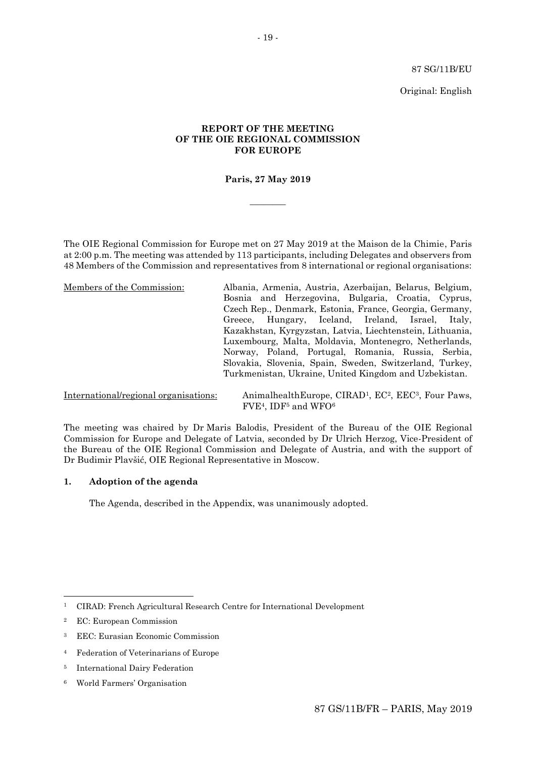87 SG/11B/EU

Original: English

## **REPORT OF THE MEETING OF THE OIE REGIONAL COMMISSION FOR EUROPE**

## **Paris, 27 May 2019**

 $\overline{\phantom{a}}$ 

The OIE Regional Commission for Europe met on 27 May 2019 at the Maison de la Chimie, Paris at 2:00 p.m. The meeting was attended by 113 participants, including Delegates and observers from 48 Members of the Commission and representatives from 8 international or regional organisations:

| Members of the Commission: | Albania, Armenia, Austria, Azerbaijan, Belarus, Belgium,  |
|----------------------------|-----------------------------------------------------------|
|                            | Bosnia and Herzegovina, Bulgaria, Croatia, Cyprus,        |
|                            | Czech Rep., Denmark, Estonia, France, Georgia, Germany,   |
|                            | Greece, Hungary, Iceland, Ireland, Israel, Italy,         |
|                            | Kazakhstan, Kyrgyzstan, Latvia, Liechtenstein, Lithuania, |
|                            | Luxembourg, Malta, Moldavia, Montenegro, Netherlands,     |
|                            | Norway, Poland, Portugal, Romania, Russia, Serbia,        |
|                            | Slovakia, Slovenia, Spain, Sweden, Switzerland, Turkey,   |
|                            | Turkmenistan, Ukraine, United Kingdom and Uzbekistan.     |
|                            |                                                           |

International/regional organisations: AnimalhealthEurope, CIRAD1, EC2, EEC3, Four Paws, FVE4, IDF<sup>5</sup> and WFO<sup>6</sup>

The meeting was chaired by Dr Maris Balodis, President of the Bureau of the OIE Regional Commission for Europe and Delegate of Latvia, seconded by Dr Ulrich Herzog, Vice-President of the Bureau of the OIE Regional Commission and Delegate of Austria, and with the support of Dr Budimir Plavšić, OIE Regional Representative in Moscow.

#### **1. Adoption of the agenda**

The Agenda, described in the Appendix, was unanimously adopted.

1

<sup>1</sup> CIRAD: French Agricultural Research Centre for International Development

<sup>2</sup> EC: European Commission

<sup>3</sup> EEC: Eurasian Economic Commission

<sup>4</sup> Federation of Veterinarians of Europe

<sup>5</sup> International Dairy Federation

<sup>6</sup> World Farmers' Organisation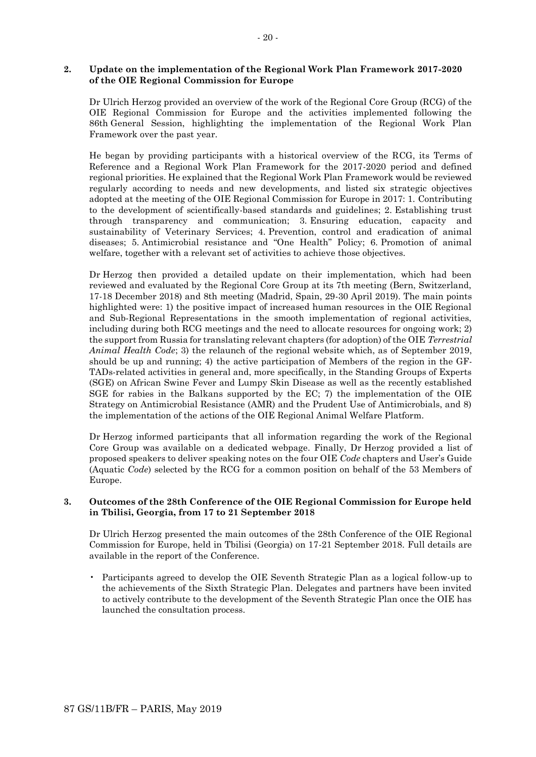### **2. Update on the implementation of the Regional Work Plan Framework 2017-2020 of the OIE Regional Commission for Europe**

Dr Ulrich Herzog provided an overview of the work of the Regional Core Group (RCG) of the OIE Regional Commission for Europe and the activities implemented following the 86th General Session, highlighting the implementation of the Regional Work Plan Framework over the past year.

He began by providing participants with a historical overview of the RCG, its Terms of Reference and a Regional Work Plan Framework for the 2017-2020 period and defined regional priorities. He explained that the Regional Work Plan Framework would be reviewed regularly according to needs and new developments, and listed six strategic objectives adopted at the meeting of the OIE Regional Commission for Europe in 2017: 1. Contributing to the development of scientifically-based standards and guidelines; 2. Establishing trust through transparency and communication; 3. Ensuring education, capacity and sustainability of Veterinary Services; 4. Prevention, control and eradication of animal diseases; 5. Antimicrobial resistance and "One Health" Policy; 6. Promotion of animal welfare, together with a relevant set of activities to achieve those objectives.

Dr Herzog then provided a detailed update on their implementation, which had been reviewed and evaluated by the Regional Core Group at its 7th meeting (Bern, Switzerland, 17-18 December 2018) and 8th meeting (Madrid, Spain, 29-30 April 2019). The main points highlighted were: 1) the positive impact of increased human resources in the OIE Regional and Sub-Regional Representations in the smooth implementation of regional activities, including during both RCG meetings and the need to allocate resources for ongoing work; 2) the support from Russia for translating relevant chapters (for adoption) of the OIE *Terrestrial Animal Health Code*; 3) the relaunch of the regional website which, as of September 2019, should be up and running; 4) the active participation of Members of the region in the GF-TADs-related activities in general and, more specifically, in the Standing Groups of Experts (SGE) on African Swine Fever and Lumpy Skin Disease as well as the recently established SGE for rabies in the Balkans supported by the EC; 7) the implementation of the OIE Strategy on Antimicrobial Resistance (AMR) and the Prudent Use of Antimicrobials, and 8) the implementation of the actions of the OIE Regional Animal Welfare Platform.

Dr Herzog informed participants that all information regarding the work of the Regional Core Group was available on a dedicated webpage. Finally, Dr Herzog provided a list of proposed speakers to deliver speaking notes on the four OIE *Code* chapters and User's Guide (Aquatic *Code*) selected by the RCG for a common position on behalf of the 53 Members of Europe.

## **3. Outcomes of the 28th Conference of the OIE Regional Commission for Europe held in Tbilisi, Georgia, from 17 to 21 September 2018**

Dr Ulrich Herzog presented the main outcomes of the 28th Conference of the OIE Regional Commission for Europe, held in Tbilisi (Georgia) on 17-21 September 2018. Full details are available in the report of the Conference.

• Participants agreed to develop the OIE Seventh Strategic Plan as a logical follow-up to the achievements of the Sixth Strategic Plan. Delegates and partners have been invited to actively contribute to the development of the Seventh Strategic Plan once the OIE has launched the consultation process.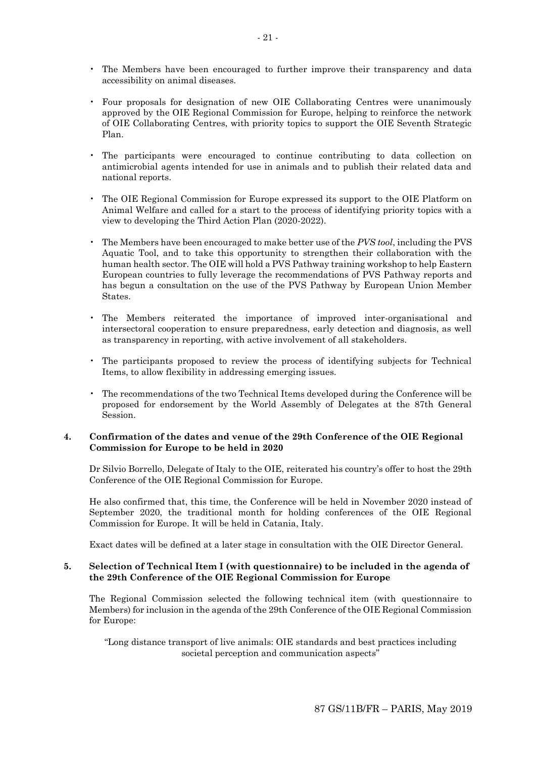- The Members have been encouraged to further improve their transparency and data accessibility on animal diseases.
- Four proposals for designation of new OIE Collaborating Centres were unanimously approved by the OIE Regional Commission for Europe, helping to reinforce the network of OIE Collaborating Centres, with priority topics to support the OIE Seventh Strategic Plan.
- The participants were encouraged to continue contributing to data collection on antimicrobial agents intended for use in animals and to publish their related data and national reports.
- The OIE Regional Commission for Europe expressed its support to the OIE Platform on Animal Welfare and called for a start to the process of identifying priority topics with a view to developing the Third Action Plan (2020-2022).
- The Members have been encouraged to make better use of the *PVS tool*, including the PVS Aquatic Tool, and to take this opportunity to strengthen their collaboration with the human health sector. The OIE will hold a PVS Pathway training workshop to help Eastern European countries to fully leverage the recommendations of PVS Pathway reports and has begun a consultation on the use of the PVS Pathway by European Union Member States.
- The Members reiterated the importance of improved inter-organisational and intersectoral cooperation to ensure preparedness, early detection and diagnosis, as well as transparency in reporting, with active involvement of all stakeholders.
- The participants proposed to review the process of identifying subjects for Technical Items, to allow flexibility in addressing emerging issues.
- The recommendations of the two Technical Items developed during the Conference will be proposed for endorsement by the World Assembly of Delegates at the 87th General Session.

## **4. Confirmation of the dates and venue of the 29th Conference of the OIE Regional Commission for Europe to be held in 2020**

Dr Silvio Borrello, Delegate of Italy to the OIE, reiterated his country's offer to host the 29th Conference of the OIE Regional Commission for Europe.

He also confirmed that, this time, the Conference will be held in November 2020 instead of September 2020, the traditional month for holding conferences of the OIE Regional Commission for Europe. It will be held in Catania, Italy.

Exact dates will be defined at a later stage in consultation with the OIE Director General.

#### **5. Selection of Technical Item I (with questionnaire) to be included in the agenda of the 29th Conference of the OIE Regional Commission for Europe**

The Regional Commission selected the following technical item (with questionnaire to Members) for inclusion in the agenda of the 29th Conference of the OIE Regional Commission for Europe:

"Long distance transport of live animals: OIE standards and best practices including societal perception and communication aspects"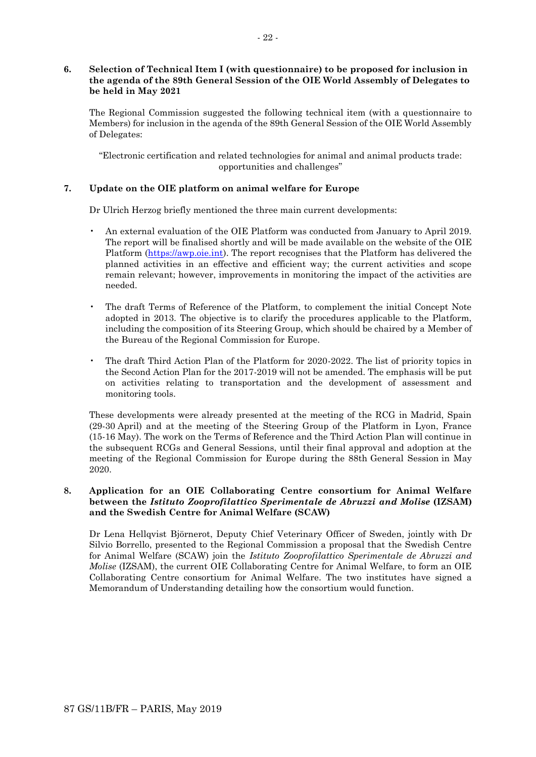## **6. Selection of Technical Item I (with questionnaire) to be proposed for inclusion in the agenda of the 89th General Session of the OIE World Assembly of Delegates to be held in May 2021**

The Regional Commission suggested the following technical item (with a questionnaire to Members) for inclusion in the agenda of the 89th General Session of the OIE World Assembly of Delegates:

"Electronic certification and related technologies for animal and animal products trade: opportunities and challenges"

## **7. Update on the OIE platform on animal welfare for Europe**

Dr Ulrich Herzog briefly mentioned the three main current developments:

- An external evaluation of the OIE Platform was conducted from January to April 2019. The report will be finalised shortly and will be made available on the website of the OIE Platform [\(https://awp.oie.int\)](https://awp.oie.int/). The report recognises that the Platform has delivered the planned activities in an effective and efficient way; the current activities and scope remain relevant; however, improvements in monitoring the impact of the activities are needed.
- The draft Terms of Reference of the Platform, to complement the initial Concept Note adopted in 2013. The objective is to clarify the procedures applicable to the Platform, including the composition of its Steering Group, which should be chaired by a Member of the Bureau of the Regional Commission for Europe.
- The draft Third Action Plan of the Platform for 2020-2022. The list of priority topics in the Second Action Plan for the 2017-2019 will not be amended. The emphasis will be put on activities relating to transportation and the development of assessment and monitoring tools.

These developments were already presented at the meeting of the RCG in Madrid, Spain (29-30 April) and at the meeting of the Steering Group of the Platform in Lyon, France (15-16 May). The work on the Terms of Reference and the Third Action Plan will continue in the subsequent RCGs and General Sessions, until their final approval and adoption at the meeting of the Regional Commission for Europe during the 88th General Session in May 2020.

## **8. Application for an OIE Collaborating Centre consortium for Animal Welfare between the** *Istituto Zooprofilattico Sperimentale de Abruzzi and Molise* **(IZSAM) and the Swedish Centre for Animal Welfare (SCAW)**

Dr Lena Hellqvist Björnerot, Deputy Chief Veterinary Officer of Sweden, jointly with Dr Silvio Borrello, presented to the Regional Commission a proposal that the Swedish Centre for Animal Welfare (SCAW) join the *Istituto Zooprofilattico Sperimentale de Abruzzi and Molise* (IZSAM), the current OIE Collaborating Centre for Animal Welfare, to form an OIE Collaborating Centre consortium for Animal Welfare. The two institutes have signed a Memorandum of Understanding detailing how the consortium would function.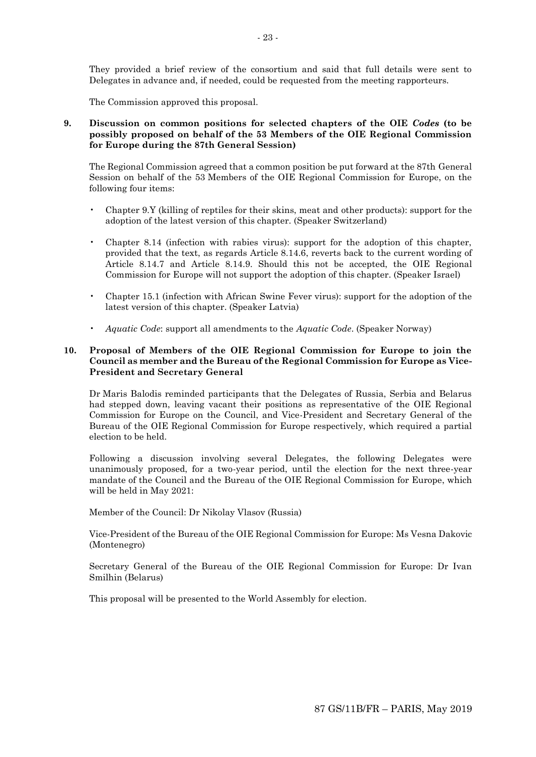They provided a brief review of the consortium and said that full details were sent to Delegates in advance and, if needed, could be requested from the meeting rapporteurs.

The Commission approved this proposal.

**9. Discussion on common positions for selected chapters of the OIE** *Codes* **(to be possibly proposed on behalf of the 53 Members of the OIE Regional Commission for Europe during the 87th General Session)** 

The Regional Commission agreed that a common position be put forward at the 87th General Session on behalf of the 53 Members of the OIE Regional Commission for Europe, on the following four items:

- Chapter 9.Y (killing of reptiles for their skins, meat and other products): support for the adoption of the latest version of this chapter. (Speaker Switzerland)
- Chapter 8.14 (infection with rabies virus): support for the adoption of this chapter, provided that the text, as regards Article 8.14.6, reverts back to the current wording of Article 8.14.7 and Article 8.14.9. Should this not be accepted, the OIE Regional Commission for Europe will not support the adoption of this chapter. (Speaker Israel)
- Chapter 15.1 (infection with African Swine Fever virus): support for the adoption of the latest version of this chapter. (Speaker Latvia)
- *Aquatic Code*: support all amendments to the *Aquatic Code*. (Speaker Norway)

## **10. Proposal of Members of the OIE Regional Commission for Europe to join the Council as member and the Bureau of the Regional Commission for Europe as Vice-President and Secretary General**

Dr Maris Balodis reminded participants that the Delegates of Russia, Serbia and Belarus had stepped down, leaving vacant their positions as representative of the OIE Regional Commission for Europe on the Council, and Vice-President and Secretary General of the Bureau of the OIE Regional Commission for Europe respectively, which required a partial election to be held.

Following a discussion involving several Delegates, the following Delegates were unanimously proposed, for a two-year period, until the election for the next three-year mandate of the Council and the Bureau of the OIE Regional Commission for Europe, which will be held in May 2021:

Member of the Council: Dr Nikolay Vlasov (Russia)

Vice-President of the Bureau of the OIE Regional Commission for Europe: Ms Vesna Dakovic (Montenegro)

Secretary General of the Bureau of the OIE Regional Commission for Europe: Dr Ivan Smilhin (Belarus)

This proposal will be presented to the World Assembly for election.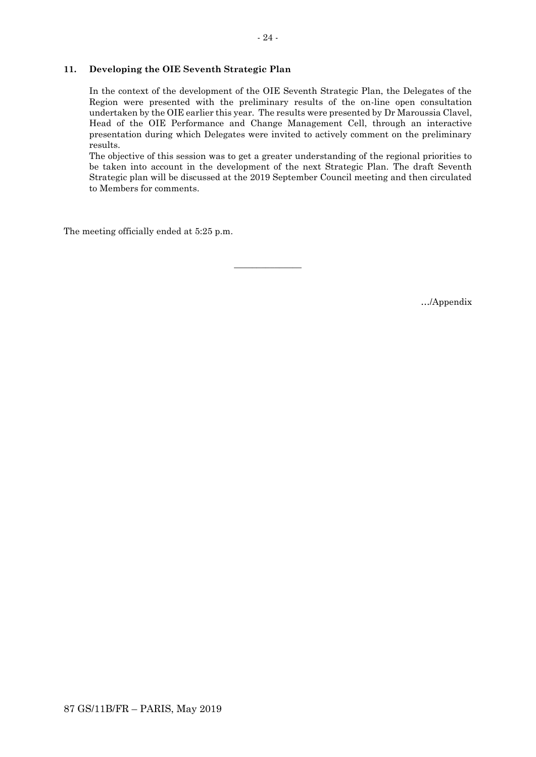## **11. Developing the OIE Seventh Strategic Plan**

In the context of the development of the OIE Seventh Strategic Plan, the Delegates of the Region were presented with the preliminary results of the on-line open consultation undertaken by the OIE earlier this year. The results were presented by Dr Maroussia Clavel, Head of the OIE Performance and Change Management Cell, through an interactive presentation during which Delegates were invited to actively comment on the preliminary results.

The objective of this session was to get a greater understanding of the regional priorities to be taken into account in the development of the next Strategic Plan. The draft Seventh Strategic plan will be discussed at the 2019 September Council meeting and then circulated to Members for comments.

 $\overline{\phantom{a}}$  , where  $\overline{\phantom{a}}$ 

The meeting officially ended at 5:25 p.m.

…/Appendix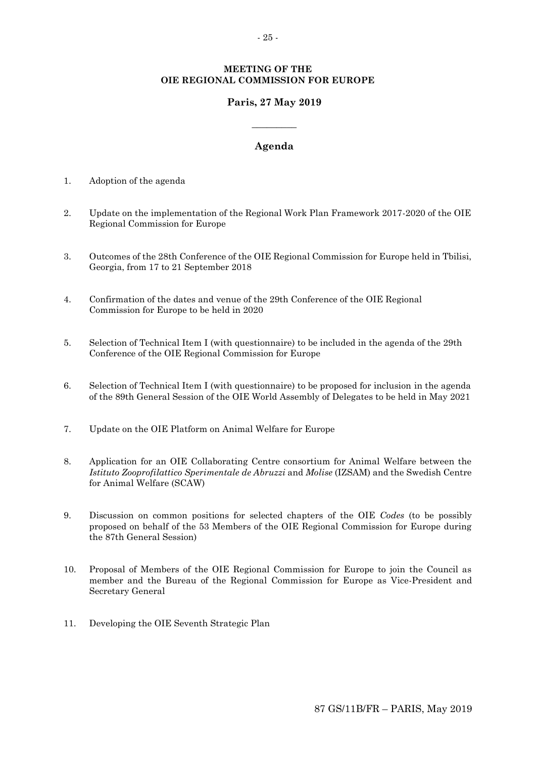## **MEETING OF THE OIE REGIONAL COMMISSION FOR EUROPE**

# **Paris, 27 May 2019**

## **Agenda**

**\_\_\_\_\_\_\_\_\_**

- 1. Adoption of the agenda
- 2. Update on the implementation of the Regional Work Plan Framework 2017-2020 of the OIE Regional Commission for Europe
- 3. Outcomes of the 28th Conference of the OIE Regional Commission for Europe held in Tbilisi, Georgia, from 17 to 21 September 2018
- 4. Confirmation of the dates and venue of the 29th Conference of the OIE Regional Commission for Europe to be held in 2020
- 5. Selection of Technical Item I (with questionnaire) to be included in the agenda of the 29th Conference of the OIE Regional Commission for Europe
- 6. Selection of Technical Item I (with questionnaire) to be proposed for inclusion in the agenda of the 89th General Session of the OIE World Assembly of Delegates to be held in May 2021
- 7. Update on the OIE Platform on Animal Welfare for Europe
- 8. Application for an OIE Collaborating Centre consortium for Animal Welfare between the *Istituto Zooprofilattico Sperimentale de Abruzzi* and *Molise* (IZSAM) and the Swedish Centre for Animal Welfare (SCAW)
- 9. Discussion on common positions for selected chapters of the OIE *Codes* (to be possibly proposed on behalf of the 53 Members of the OIE Regional Commission for Europe during the 87th General Session)
- 10. Proposal of Members of the OIE Regional Commission for Europe to join the Council as member and the Bureau of the Regional Commission for Europe as Vice-President and Secretary General
- 11. Developing the OIE Seventh Strategic Plan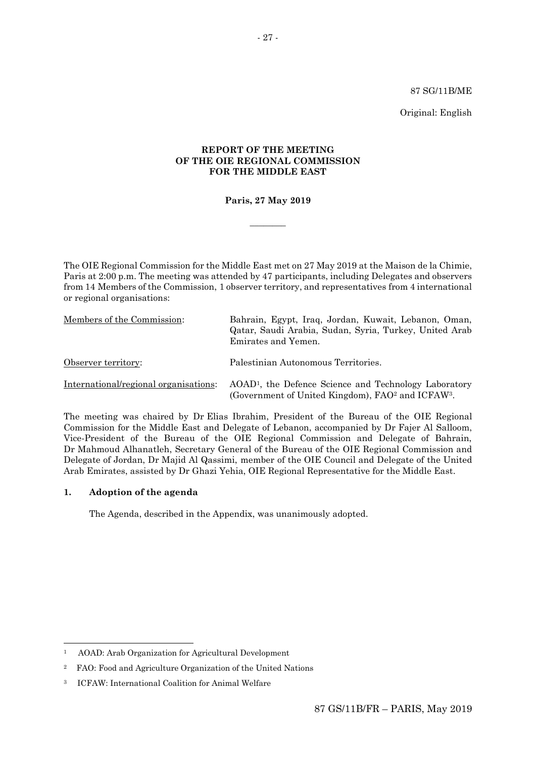#### 87 SG/11B/ME

Original: English

## **REPORT OF THE MEETING OF THE OIE REGIONAL COMMISSION FOR THE MIDDLE EAST**

## **Paris, 27 May 2019**

 $\overline{\phantom{a}}$ 

The OIE Regional Commission for the Middle East met on 27 May 2019 at the Maison de la Chimie, Paris at 2:00 p.m. The meeting was attended by 47 participants, including Delegates and observers from 14 Members of the Commission, 1 observer territory, and representatives from 4 international or regional organisations:

| Members of the Commission:            | Bahrain, Egypt, Iraq, Jordan, Kuwait, Lebanon, Oman,<br>Qatar, Saudi Arabia, Sudan, Syria, Turkey, United Arab<br>Emirates and Yemen.          |
|---------------------------------------|------------------------------------------------------------------------------------------------------------------------------------------------|
| Observer territory:                   | Palestinian Autonomous Territories.                                                                                                            |
| International/regional organisations: | AOAD <sup>1</sup> , the Defence Science and Technology Laboratory<br>(Government of United Kingdom), FAO <sup>2</sup> and ICFAW <sup>3</sup> . |

The meeting was chaired by Dr Elias Ibrahim, President of the Bureau of the OIE Regional Commission for the Middle East and Delegate of Lebanon, accompanied by Dr Fajer Al Salloom, Vice-President of the Bureau of the OIE Regional Commission and Delegate of Bahrain, Dr Mahmoud Alhanatleh, Secretary General of the Bureau of the OIE Regional Commission and Delegate of Jordan, Dr Majid Al Qassimi, member of the OIE Council and Delegate of the United Arab Emirates, assisted by Dr Ghazi Yehia, OIE Regional Representative for the Middle East.

## **1. Adoption of the agenda**

1

The Agenda, described in the Appendix, was unanimously adopted.

<sup>1</sup> AOAD: Arab Organization for Agricultural Development

<sup>2</sup> FAO: Food and Agriculture Organization of the United Nations

<sup>3</sup> ICFAW: International Coalition for Animal Welfare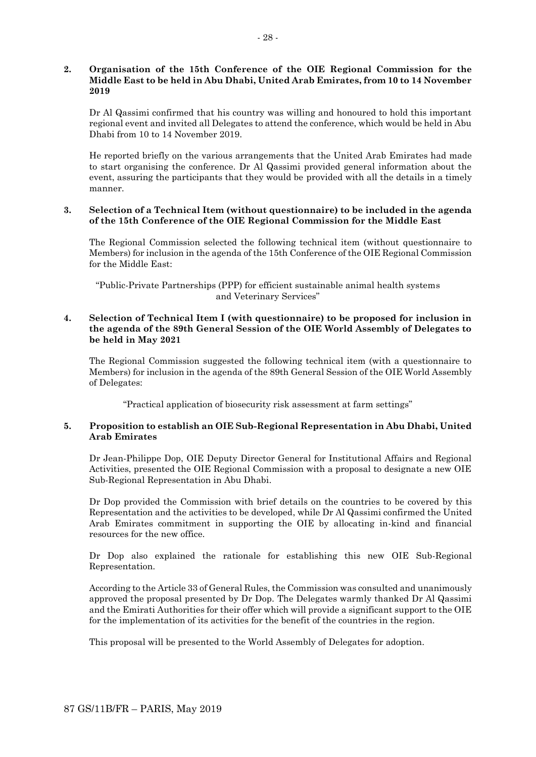## **2. Organisation of the 15th Conference of the OIE Regional Commission for the Middle East to be held in Abu Dhabi, United Arab Emirates, from 10 to 14 November 2019**

Dr Al Qassimi confirmed that his country was willing and honoured to hold this important regional event and invited all Delegates to attend the conference, which would be held in Abu Dhabi from 10 to 14 November 2019.

He reported briefly on the various arrangements that the United Arab Emirates had made to start organising the conference. Dr Al Qassimi provided general information about the event, assuring the participants that they would be provided with all the details in a timely manner.

## **3. Selection of a Technical Item (without questionnaire) to be included in the agenda of the 15th Conference of the OIE Regional Commission for the Middle East**

The Regional Commission selected the following technical item (without questionnaire to Members) for inclusion in the agenda of the 15th Conference of the OIE Regional Commission for the Middle East:

"Public-Private Partnerships (PPP) for efficient sustainable animal health systems and Veterinary Services"

## **4. Selection of Technical Item I (with questionnaire) to be proposed for inclusion in the agenda of the 89th General Session of the OIE World Assembly of Delegates to be held in May 2021**

The Regional Commission suggested the following technical item (with a questionnaire to Members) for inclusion in the agenda of the 89th General Session of the OIE World Assembly of Delegates:

"Practical application of biosecurity risk assessment at farm settings"

## **5. Proposition to establish an OIE Sub-Regional Representation in Abu Dhabi, United Arab Emirates**

Dr Jean-Philippe Dop, OIE Deputy Director General for Institutional Affairs and Regional Activities, presented the OIE Regional Commission with a proposal to designate a new OIE Sub-Regional Representation in Abu Dhabi.

Dr Dop provided the Commission with brief details on the countries to be covered by this Representation and the activities to be developed, while Dr Al Qassimi confirmed the United Arab Emirates commitment in supporting the OIE by allocating in-kind and financial resources for the new office.

Dr Dop also explained the rationale for establishing this new OIE Sub-Regional Representation.

According to the Article 33 of General Rules, the Commission was consulted and unanimously approved the proposal presented by Dr Dop. The Delegates warmly thanked Dr Al Qassimi and the Emirati Authorities for their offer which will provide a significant support to the OIE for the implementation of its activities for the benefit of the countries in the region.

This proposal will be presented to the World Assembly of Delegates for adoption.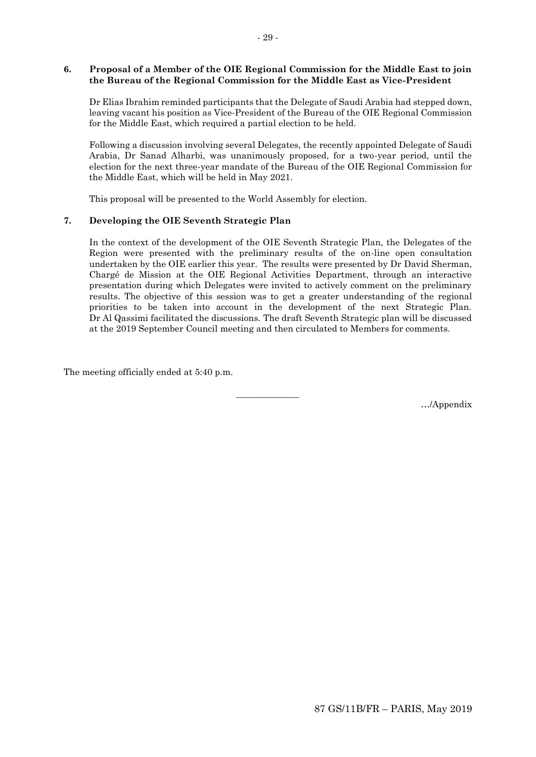### **6. Proposal of a Member of the OIE Regional Commission for the Middle East to join the Bureau of the Regional Commission for the Middle East as Vice-President**

Dr Elias Ibrahim reminded participants that the Delegate of Saudi Arabia had stepped down, leaving vacant his position as Vice-President of the Bureau of the OIE Regional Commission for the Middle East, which required a partial election to be held.

Following a discussion involving several Delegates, the recently appointed Delegate of Saudi Arabia, Dr Sanad Alharbi, was unanimously proposed, for a two-year period, until the election for the next three-year mandate of the Bureau of the OIE Regional Commission for the Middle East, which will be held in May 2021.

This proposal will be presented to the World Assembly for election.

## **7. Developing the OIE Seventh Strategic Plan**

In the context of the development of the OIE Seventh Strategic Plan, the Delegates of the Region were presented with the preliminary results of the on-line open consultation undertaken by the OIE earlier this year. The results were presented by Dr David Sherman, Chargé de Mission at the OIE Regional Activities Department, through an interactive presentation during which Delegates were invited to actively comment on the preliminary results. The objective of this session was to get a greater understanding of the regional priorities to be taken into account in the development of the next Strategic Plan. Dr Al Qassimi facilitated the discussions. The draft Seventh Strategic plan will be discussed at the 2019 September Council meeting and then circulated to Members for comments.

 $\overline{\phantom{a}}$  , where  $\overline{\phantom{a}}$ 

The meeting officially ended at 5:40 p.m.

…/Appendix